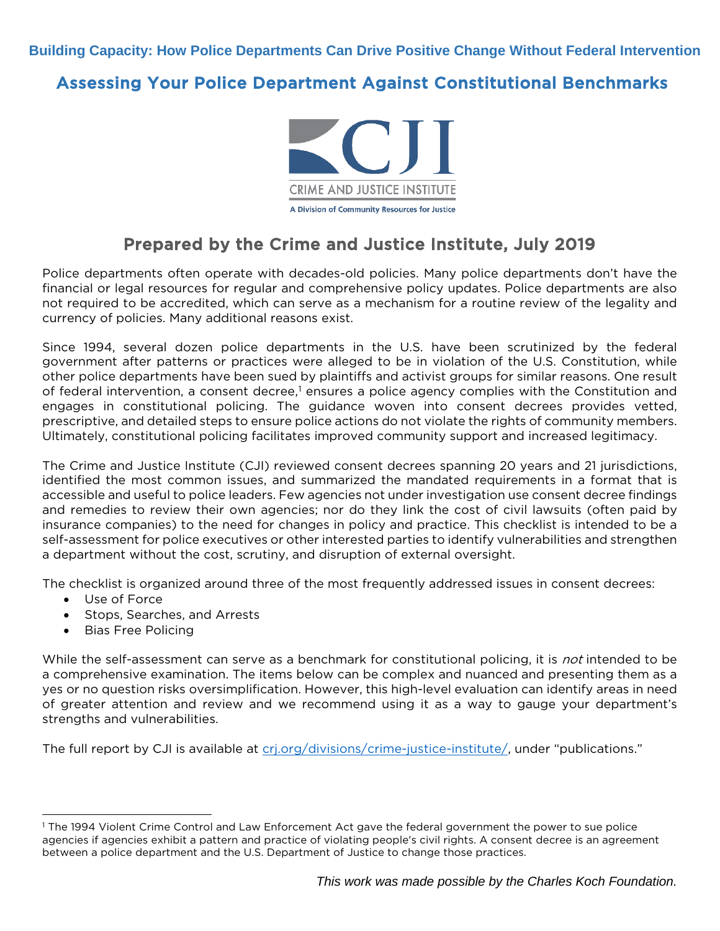**Building Capacity: How Police Departments Can Drive Positive Change Without Federal Intervention**

#### Assessing Your Police Department Against Constitutional Benchmarks



### Prepared by the Crime and Justice Institute, July 2019

Police departments often operate with decades-old policies. Many police departments don't have the financial or legal resources for regular and comprehensive policy updates. Police departments are also not required to be accredited, which can serve as a mechanism for a routine review of the legality and currency of policies. Many additional reasons exist.

Since 1994, several dozen police departments in the U.S. have been scrutinized by the federal government after patterns or practices were alleged to be in violation of the U.S. Constitution, while other police departments have been sued by plaintiffs and activist groups for similar reasons. One result of federal intervention, a consent decree,<sup>[1](#page-0-0)</sup> ensures a police agency complies with the Constitution and engages in constitutional policing. The guidance woven into consent decrees provides vetted, prescriptive, and detailed steps to ensure police actions do not violate the rights of community members. Ultimately, constitutional policing facilitates improved community support and increased legitimacy.

The Crime and Justice Institute (CJI) reviewed consent decrees spanning 20 years and 21 jurisdictions, identified the most common issues, and summarized the mandated requirements in a format that is accessible and useful to police leaders. Few agencies not under investigation use consent decree findings and remedies to review their own agencies; nor do they link the cost of civil lawsuits (often paid by insurance companies) to the need for changes in policy and practice. This checklist is intended to be a self-assessment for police executives or other interested parties to identify vulnerabilities and strengthen a department without the cost, scrutiny, and disruption of external oversight.

The checklist is organized around three of the most frequently addressed issues in consent decrees:

- Use of Force
- Stops, Searches, and Arrests
- Bias Free Policing

While the self-assessment can serve as a benchmark for constitutional policing, it is not intended to be a comprehensive examination. The items below can be complex and nuanced and presenting them as a yes or no question risks oversimplification. However, this high-level evaluation can identify areas in need of greater attention and review and we recommend using it as a way to gauge your department's strengths and vulnerabilities.

The full report by CJI is available at cri.org/divisions/crime-justice-institute/, under "publications."

<span id="page-0-0"></span><sup>1</sup> The 1994 Violent Crime Control and Law Enforcement Act gave the federal government the power to sue police agencies if agencies exhibit a pattern and practice of violating people's civil rights. A consent decree is an agreement between a police department and the U.S. Department of Justice to change those practices.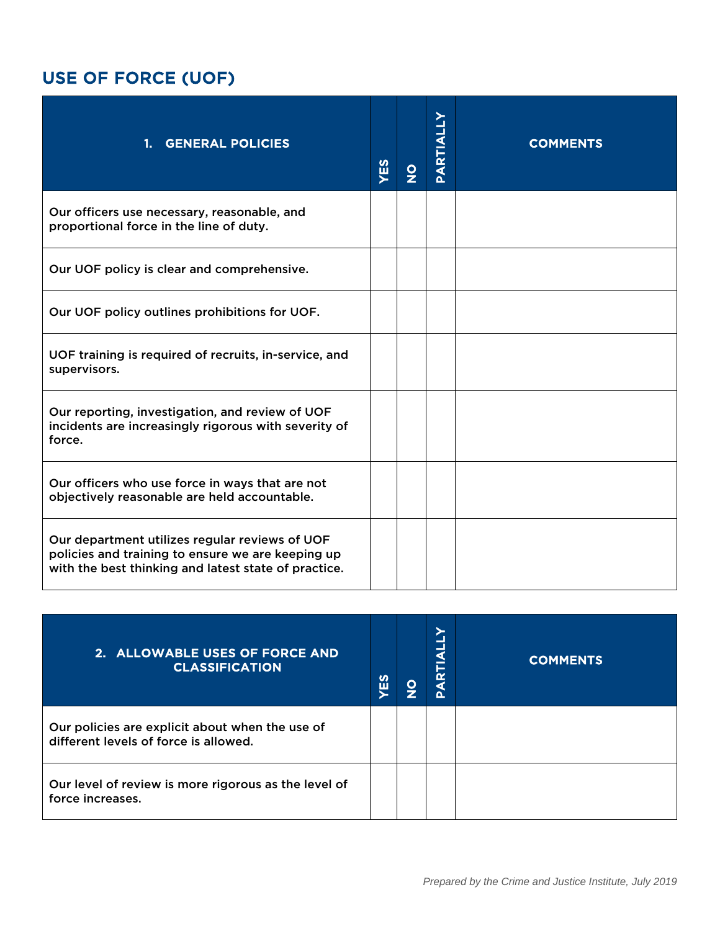# USE OF FORCE (UOF)

| 1. GENERAL POLICIES                                                                                                                                         | YES | $\frac{1}{2}$ | PARTIALLY | <b>COMMENTS</b> |
|-------------------------------------------------------------------------------------------------------------------------------------------------------------|-----|---------------|-----------|-----------------|
| Our officers use necessary, reasonable, and<br>proportional force in the line of duty.                                                                      |     |               |           |                 |
| Our UOF policy is clear and comprehensive.                                                                                                                  |     |               |           |                 |
| Our UOF policy outlines prohibitions for UOF.                                                                                                               |     |               |           |                 |
| UOF training is required of recruits, in-service, and<br>supervisors.                                                                                       |     |               |           |                 |
| Our reporting, investigation, and review of UOF<br>incidents are increasingly rigorous with severity of<br>force.                                           |     |               |           |                 |
| Our officers who use force in ways that are not<br>objectively reasonable are held accountable.                                                             |     |               |           |                 |
| Our department utilizes regular reviews of UOF<br>policies and training to ensure we are keeping up<br>with the best thinking and latest state of practice. |     |               |           |                 |

| 2. ALLOWABLE USES OF FORCE AND<br><b>CLASSIFICATION</b>                                  | <b>SB</b> | O | a<br>Δ | <b>COMMENTS</b> |
|------------------------------------------------------------------------------------------|-----------|---|--------|-----------------|
| Our policies are explicit about when the use of<br>different levels of force is allowed. |           |   |        |                 |
| Our level of review is more rigorous as the level of<br>force increases.                 |           |   |        |                 |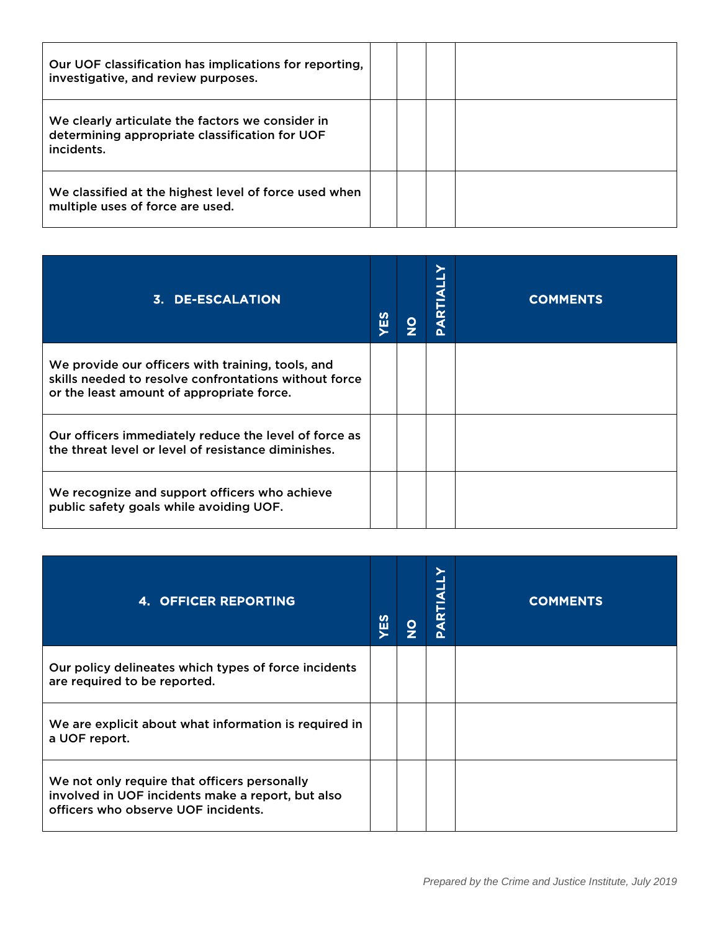| Our UOF classification has implications for reporting,<br>investigative, and review purposes.                    |  |  |
|------------------------------------------------------------------------------------------------------------------|--|--|
| We clearly articulate the factors we consider in<br>determining appropriate classification for UOF<br>incidents. |  |  |
| We classified at the highest level of force used when<br>multiple uses of force are used.                        |  |  |

| 3. DE-ESCALATION                                                                                                                                        | <b>留</b> | $\frac{\mathsf{O}}{\mathsf{Z}}$ | ≻<br>.<br>∢<br>௳ | <b>COMMENTS</b> |
|---------------------------------------------------------------------------------------------------------------------------------------------------------|----------|---------------------------------|------------------|-----------------|
| We provide our officers with training, tools, and<br>skills needed to resolve confrontations without force<br>or the least amount of appropriate force. |          |                                 |                  |                 |
| Our officers immediately reduce the level of force as<br>the threat level or level of resistance diminishes.                                            |          |                                 |                  |                 |
| We recognize and support officers who achieve<br>public safety goals while avoiding UOF.                                                                |          |                                 |                  |                 |

| <b>4. OFFICER REPORTING</b>                                                                                                              | <b>SH</b> | $\frac{\mathsf{O}}{\mathsf{Z}}$ | ∢<br><b>ARTI</b><br>Δ | <b>COMMENTS</b> |
|------------------------------------------------------------------------------------------------------------------------------------------|-----------|---------------------------------|-----------------------|-----------------|
| Our policy delineates which types of force incidents<br>are required to be reported.                                                     |           |                                 |                       |                 |
| We are explicit about what information is required in<br>a UOF report.                                                                   |           |                                 |                       |                 |
| We not only require that officers personally<br>involved in UOF incidents make a report, but also<br>officers who observe UOF incidents. |           |                                 |                       |                 |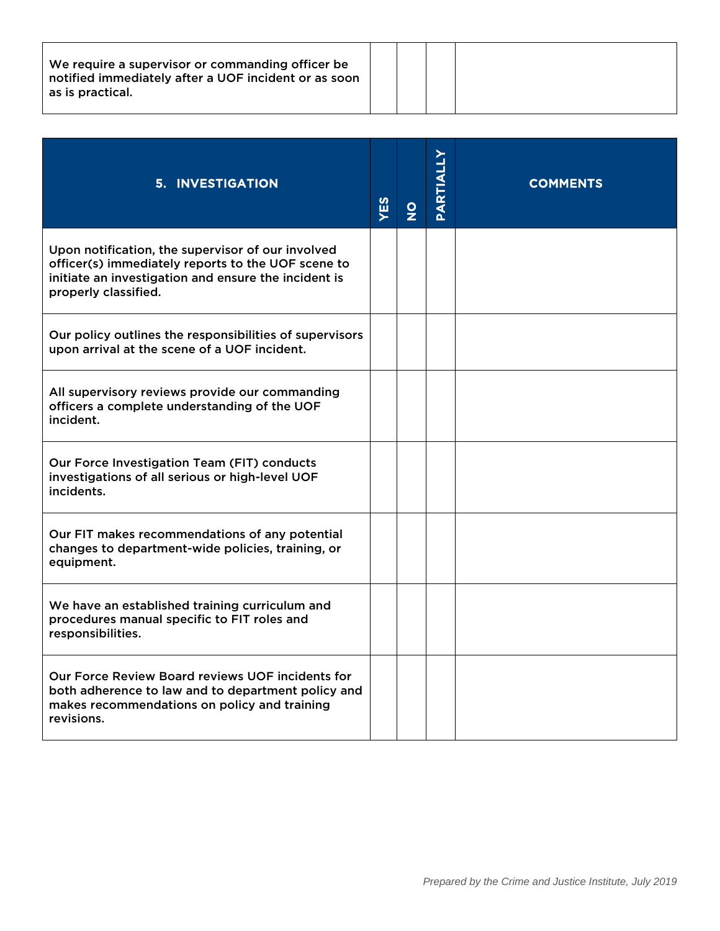| We require a supervisor or commanding officer be.<br>notified immediately after a UOF incident or as soon<br>as is practical. |  |  |  |  |
|-------------------------------------------------------------------------------------------------------------------------------|--|--|--|--|
|-------------------------------------------------------------------------------------------------------------------------------|--|--|--|--|

| <b>5. INVESTIGATION</b>                                                                                                                                                                 | YES | $\frac{1}{2}$ | PARTIALLY | <b>COMMENTS</b> |
|-----------------------------------------------------------------------------------------------------------------------------------------------------------------------------------------|-----|---------------|-----------|-----------------|
| Upon notification, the supervisor of our involved<br>officer(s) immediately reports to the UOF scene to<br>initiate an investigation and ensure the incident is<br>properly classified. |     |               |           |                 |
| Our policy outlines the responsibilities of supervisors<br>upon arrival at the scene of a UOF incident.                                                                                 |     |               |           |                 |
| All supervisory reviews provide our commanding<br>officers a complete understanding of the UOF<br>incident.                                                                             |     |               |           |                 |
| Our Force Investigation Team (FIT) conducts<br>investigations of all serious or high-level UOF<br>incidents.                                                                            |     |               |           |                 |
| Our FIT makes recommendations of any potential<br>changes to department-wide policies, training, or<br>equipment.                                                                       |     |               |           |                 |
| We have an established training curriculum and<br>procedures manual specific to FIT roles and<br>responsibilities.                                                                      |     |               |           |                 |
| Our Force Review Board reviews UOF incidents for<br>both adherence to law and to department policy and<br>makes recommendations on policy and training<br>revisions.                    |     |               |           |                 |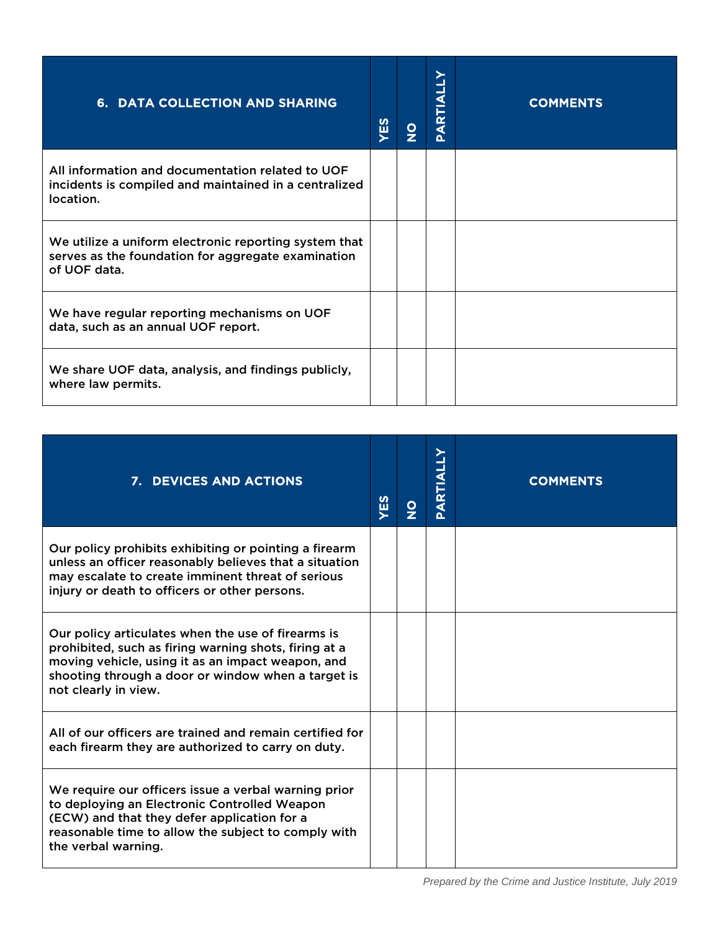| 6. DATA COLLECTION AND SHARING                                                                                              | YES | <u>loj</u> | <b>PARTIALLY</b> | <b>COMMENTS</b> |
|-----------------------------------------------------------------------------------------------------------------------------|-----|------------|------------------|-----------------|
| All information and documentation related to UOF<br>incidents is compiled and maintained in a centralized<br>location.      |     |            |                  |                 |
| We utilize a uniform electronic reporting system that<br>serves as the foundation for aggregate examination<br>of UOF data. |     |            |                  |                 |
| We have regular reporting mechanisms on UOF<br>data, such as an annual UOF report.                                          |     |            |                  |                 |
| We share UOF data, analysis, and findings publicly,<br>where law permits.                                                   |     |            |                  |                 |

| 7. DEVICES AND ACTIONS                                                                                                                                                                                                                         | YES | $\frac{8}{2}$ | PARTIALLY | <b>COMMENTS</b> |
|------------------------------------------------------------------------------------------------------------------------------------------------------------------------------------------------------------------------------------------------|-----|---------------|-----------|-----------------|
| Our policy prohibits exhibiting or pointing a firearm<br>unless an officer reasonably believes that a situation<br>may escalate to create imminent threat of serious<br>injury or death to officers or other persons.                          |     |               |           |                 |
| Our policy articulates when the use of firearms is<br>prohibited, such as firing warning shots, firing at a<br>moving vehicle, using it as an impact weapon, and<br>shooting through a door or window when a target is<br>not clearly in view. |     |               |           |                 |
| All of our officers are trained and remain certified for<br>each firearm they are authorized to carry on duty.                                                                                                                                 |     |               |           |                 |
| We require our officers issue a verbal warning prior<br>to deploying an Electronic Controlled Weapon<br>(ECW) and that they defer application for a<br>reasonable time to allow the subject to comply with<br>the verbal warning.              |     |               |           |                 |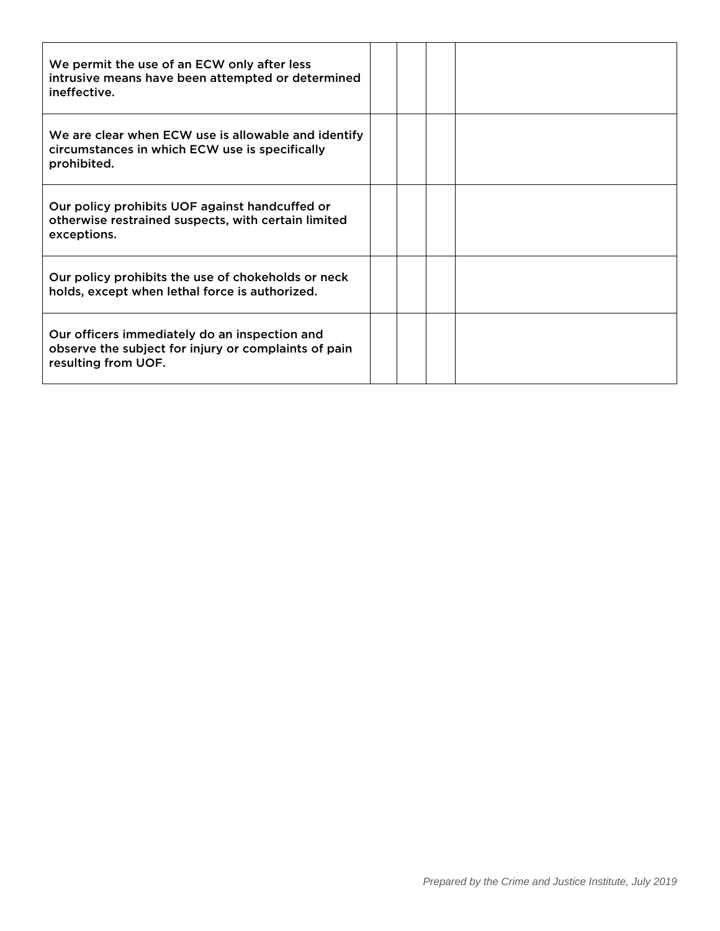| We permit the use of an ECW only after less<br>intrusive means have been attempted or determined<br>ineffective.             |  |  |
|------------------------------------------------------------------------------------------------------------------------------|--|--|
| We are clear when ECW use is allowable and identify<br>circumstances in which ECW use is specifically<br>prohibited.         |  |  |
| Our policy prohibits UOF against handcuffed or<br>otherwise restrained suspects, with certain limited<br>exceptions.         |  |  |
| Our policy prohibits the use of chokeholds or neck<br>holds, except when lethal force is authorized.                         |  |  |
| Our officers immediately do an inspection and<br>observe the subject for injury or complaints of pain<br>resulting from UOF. |  |  |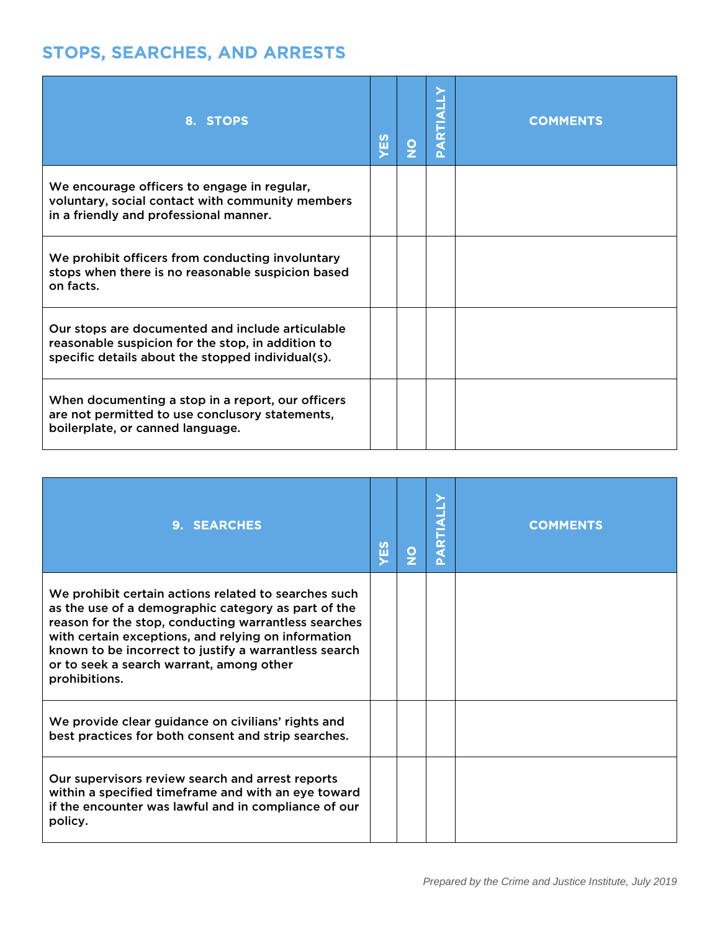# STOPS, SEARCHES, AND ARRESTS

| 8. STOPS                                                                                                                                                   | YES | $\frac{\mathsf{O}}{\mathsf{Z}}$ | <b>ARTI</b><br>Δ. | <b>COMMENTS</b> |
|------------------------------------------------------------------------------------------------------------------------------------------------------------|-----|---------------------------------|-------------------|-----------------|
| We encourage officers to engage in regular,<br>voluntary, social contact with community members<br>in a friendly and professional manner.                  |     |                                 |                   |                 |
| We prohibit officers from conducting involuntary<br>stops when there is no reasonable suspicion based<br>on facts.                                         |     |                                 |                   |                 |
| Our stops are documented and include articulable<br>reasonable suspicion for the stop, in addition to<br>specific details about the stopped individual(s). |     |                                 |                   |                 |
| When documenting a stop in a report, our officers<br>are not permitted to use conclusory statements,<br>boilerplate, or canned language.                   |     |                                 |                   |                 |

| 9. SEARCHES                                                                                                                                                                                                                                                                                                                                      | YES | O | ARTIA<br>$\alpha$ | <b>COMMENTS</b> |
|--------------------------------------------------------------------------------------------------------------------------------------------------------------------------------------------------------------------------------------------------------------------------------------------------------------------------------------------------|-----|---|-------------------|-----------------|
| We prohibit certain actions related to searches such<br>as the use of a demographic category as part of the<br>reason for the stop, conducting warrantless searches<br>with certain exceptions, and relying on information<br>known to be incorrect to justify a warrantless search<br>or to seek a search warrant, among other<br>prohibitions. |     |   |                   |                 |
| We provide clear guidance on civilians' rights and<br>best practices for both consent and strip searches.                                                                                                                                                                                                                                        |     |   |                   |                 |
| Our supervisors review search and arrest reports<br>within a specified timeframe and with an eye toward<br>if the encounter was lawful and in compliance of our<br>policy.                                                                                                                                                                       |     |   |                   |                 |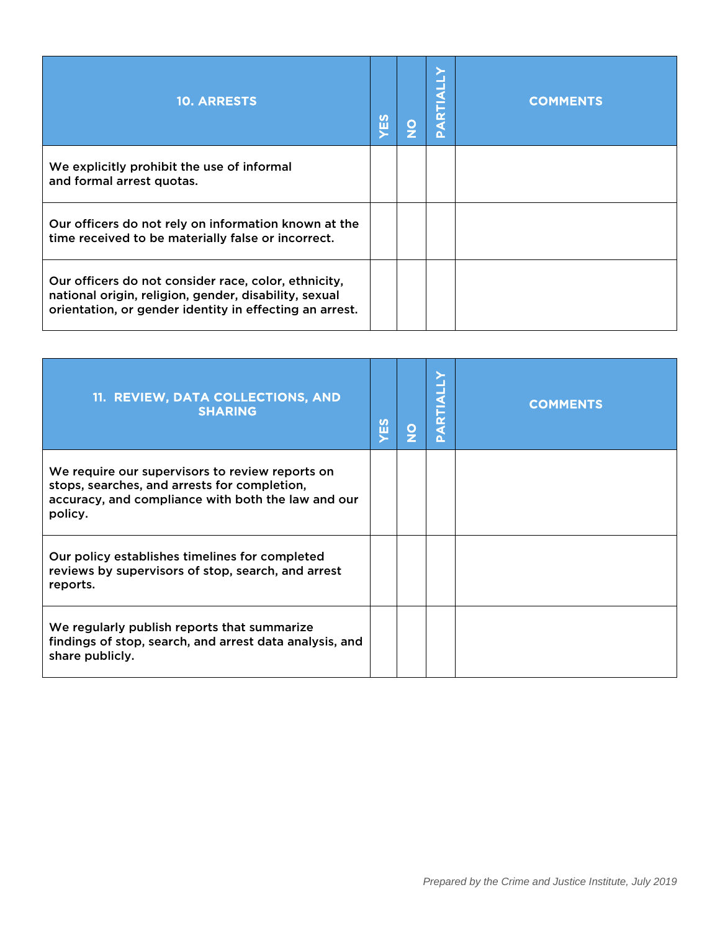| <b>10. ARRESTS</b>                                                                                                                                                       | <b>SE</b> | $\frac{0}{2}$ | œ<br>n. | <b>COMMENTS</b> |
|--------------------------------------------------------------------------------------------------------------------------------------------------------------------------|-----------|---------------|---------|-----------------|
| We explicitly prohibit the use of informal<br>and formal arrest quotas.                                                                                                  |           |               |         |                 |
| Our officers do not rely on information known at the<br>time received to be materially false or incorrect.                                                               |           |               |         |                 |
| Our officers do not consider race, color, ethnicity,<br>national origin, religion, gender, disability, sexual<br>orientation, or gender identity in effecting an arrest. |           |               |         |                 |

| 11. REVIEW, DATA COLLECTIONS, AND<br><b>SHARING</b>                                                                                                              | <b>ZES</b> | $\frac{\mathsf{O}}{\mathsf{Z}}$ | <b>ARTIALLY</b> | <b>COMMENTS</b> |
|------------------------------------------------------------------------------------------------------------------------------------------------------------------|------------|---------------------------------|-----------------|-----------------|
| We require our supervisors to review reports on<br>stops, searches, and arrests for completion,<br>accuracy, and compliance with both the law and our<br>policy. |            |                                 |                 |                 |
| Our policy establishes timelines for completed<br>reviews by supervisors of stop, search, and arrest<br>reports.                                                 |            |                                 |                 |                 |
| We regularly publish reports that summarize<br>findings of stop, search, and arrest data analysis, and<br>share publicly.                                        |            |                                 |                 |                 |